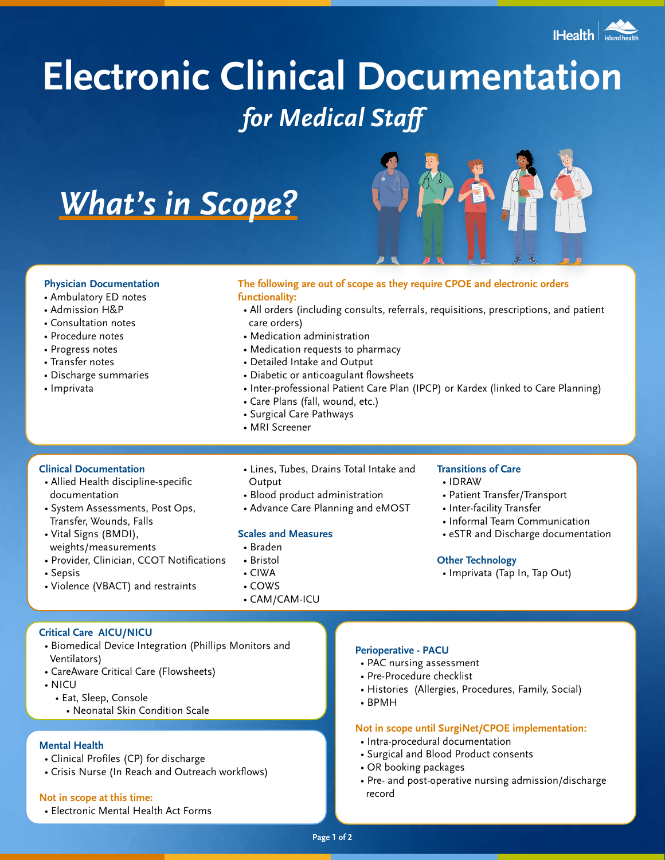

# **Electronic Clinical Documentation** *for Medical Staff*

*What's in Scope?*



#### **Physician Documentation**

- Ambulatory ED notes
- Admission H&P
- Consultation notes
- Procedure notes
- Progress notes
- Transfer notes
- Discharge summaries
- Imprivata

# **The following are out of scope as they require CPOE and electronic orders functionality:**

- All orders (including consults, referrals, requisitions, prescriptions, and patient care orders)
- Medication administration
- Medication requests to pharmacy
- Detailed Intake and Output
- Diabetic or anticoagulant flowsheets

• Lines, Tubes, Drains Total Intake and

- Inter-professional Patient Care Plan (IPCP) or Kardex (linked to Care Planning)
- Care Plans (fall, wound, etc.)

• Blood product administration • Advance Care Planning and eMOST

- Surgical Care Pathways
- MRI Screener

**Output** 

• Braden • Bristol • CIWA • COWS

# **Clinical Documentation**

- Allied Health discipline-specific documentation
- System Assessments, Post Ops, Transfer, Wounds, Falls
- Vital Signs (BMDI), weights/measurements
- Provider, Clinician, CCOT Notifications
- Sepsis
- Violence (VBACT) and restraints
- CAM/CAM-ICU

**Scales and Measures**

# **Transitions of Care**

- IDRAW
- Patient Transfer/Transport
- Inter-facility Transfer
- Informal Team Communication
- eSTR and Discharge documentation

#### **Other Technology**

• Imprivata (Tap In, Tap Out)

## **Critical Care AICU/NICU**

- Biomedical Device Integration (Phillips Monitors and Ventilators)
- CareAware Critical Care (Flowsheets)
- NICU
	- Eat, Sleep, Console
		- Neonatal Skin Condition Scale

#### **Mental Health**

- Clinical Profiles (CP) for discharge
- Crisis Nurse (In Reach and Outreach workflows)

#### **Not in scope at this time:**

• Electronic Mental Health Act Forms

#### **Perioperative - PACU**

- PAC nursing assessment
- Pre-Procedure checklist
- Histories (Allergies, Procedures, Family, Social)
- BPMH

## **Not in scope until SurgiNet/CPOE implementation:**

- Intra-procedural documentation
- Surgical and Blood Product consents
- OR booking packages
- Pre- and post-operative nursing admission/discharge record